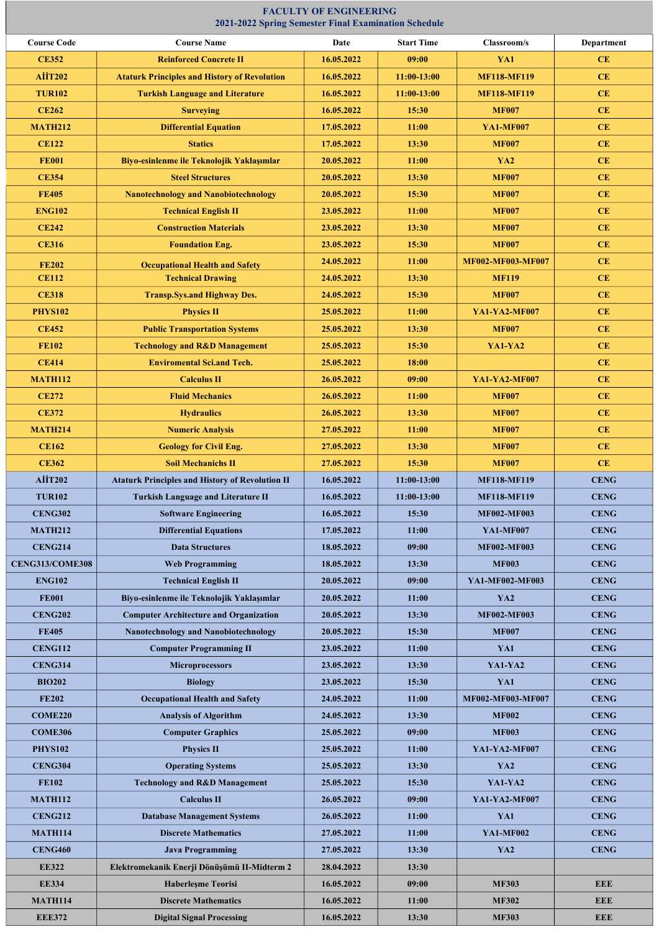| <b>COME220</b> | <b>Analysis of Algorithm</b>                | 24.05.2022 | 13:30 | <b>MF002</b>         | <b>CENG</b> |
|----------------|---------------------------------------------|------------|-------|----------------------|-------------|
| <b>COME306</b> | <b>Computer Graphics</b>                    | 25.05.2022 | 09:00 | <b>MF003</b>         | <b>CENG</b> |
| <b>PHYS102</b> | <b>Physics II</b>                           | 25.05.2022 | 11:00 | YA1-YA2-MF007        | <b>CENG</b> |
| <b>CENG304</b> | <b>Operating Systems</b>                    | 25.05.2022 | 13:30 | <b>YA2</b>           | <b>CENG</b> |
| <b>FE102</b>   | <b>Technology and R&amp;D Management</b>    | 25.05.2022 | 15:30 | YA1-YA2              | <b>CENG</b> |
| <b>MATH112</b> | <b>Calculus II</b>                          | 26.05.2022 | 09:00 | <b>YA1-YA2-MF007</b> | <b>CENG</b> |
| <b>CENG212</b> | <b>Database Management Systems</b>          | 26.05.2022 | 11:00 | YA1                  | <b>CENG</b> |
| <b>MATH114</b> | <b>Discrete Mathematics</b>                 | 27.05.2022 | 11:00 | <b>YA1-MF002</b>     | <b>CENG</b> |
| <b>CENG460</b> | <b>Java Programming</b>                     | 27.05.2022 | 13:30 | <b>YA2</b>           | <b>CENG</b> |
| <b>EE322</b>   | Elektromekanik Enerji Dönüşümü II-Midterm 2 | 28.04.2022 | 13:30 |                      |             |
| <b>EE334</b>   | <b>Haberleşme Teorisi</b>                   | 16.05.2022 | 09:00 | <b>MF303</b>         | <b>EEE</b>  |
| <b>MATH114</b> | <b>Discrete Mathematics</b>                 | 16.05.2022 | 11:00 | <b>MF302</b>         | <b>EEE</b>  |
| <b>EEE372</b>  | <b>Digital Signal Processing</b>            | 16.05.2022 | 13:30 | <b>MF303</b>         | <b>EEE</b>  |
|                |                                             |            |       |                      |             |

## Course Code Course Name Date Start Time Classroom/s Department CE352 Reinforced Concrete II 16.05.2022 09:00 XA1 YA1 CE AIIT202 Ataturk Principles and History of Revolution 16.05.2022 11:00-13:00 MF118-MF119 CE TUR102 Turkish Language and Literature 16.05.2022 11:00-13:00 MF118-MF119 CE CE262 Surveying 16.05.2022 15:30 MF007 CE MATH212 | Differential Equation | 17.05.2022 | 11:00 | YA1-MF007 | CE CE122 **Statics Statics 17.05.2022 13:30 MF007** CE FE001 Biyo-esinlenme ile Teknolojik Yaklaşımlar | 20.05.2022 | 11:00 | YA2 | CE CE354 Steel Structures 20.05.2022 13:30 MF007 CE FE405 Nanotechnology and Nanobiotechnology 20.05.2022 15:30 MF007 MF007 CE ENG102 | Technical English II | 23.05.2022 | 11:00 | MF007 | CE CE242 Construction Materials 23.05.2022 3.05.2020 MF007 MF007 CE CE316 **Foundation Eng.** 23.05.2022 **15:30 MF007** CE FE202 Occupational Health and Safety 24.05.2022 11:00 MF002-MF003-MF007 CE CE112 **Technical Drawing 24.05.2022 13:30 MF119 CE** CE318 15:30 1 Transp.Sys.and Highway Des. 24.05.2022 15:30 15:30 MF007 CE PHYS102 **Physics II 25.05.2022 11:00 NA1-YA2-MF007** CE CE452 **Public Transportation Systems** 25.05.2022 13:30 MF007 CE FE102 **Technology and R&D Management** 25.05.2022 15:30 VA1-YA2 CE CE414 **Enviromental Sci.and Tech.** 25.05.2022 **18:00 18:00 18:00 CE** MATH112 Calculus II 26.05.2022 09:00 YA1-YA2-MF007 CE CE272 Fluid Mechanics 26.05.2022 11:00 MF007 CE CE372 | Hydraulics Hydraulics | 26.05.2022 | 13:30 | MF007 | CE MATH214 | Numeric Analysis | 27.05.2022 | 11:00 | MF007 | CE CE162 **Geology for Civil Eng.** 27.05.2022 **13:30** MF007 **CE** CE362 Soil Mechanichs II 27.05.2022 35:30 MF007 CE AİİT202 | Ataturk Principles and History of Revolution II | 16.05.2022 | 11:00-13:00 | MF118-MF119 | CENG TUR102 Turkish Language and Literature II 16.05.2022 11:00-13:00 MF118-MF119 CENG CENG302 | Software Engineering | 16.05.2022 | 15:30 | MF002-MF003 | CENG MATH212 | Differential Equations | 17.05.2022 | 11:00 | YA1-MF007 | CENG CENG214 Data Structures 18.05.2022 09:00 MF002-MF003 CENG CENG313/COME308 Web Programming 18.05.2022 13:30 MF003 CENG ENG102 | Technical English II | 20.05.2022 | 09:00 | YA1-MF002-MF003 | CENG FE001 Biyo-esinlenme ile Teknolojik Yaklaşımlar | 20.05.2022 | 11:00 | YA2 | CENG CENG202 Computer Architecture and Organization 20.05.2022 13:30 MF002-MF003 CENG FE405 | Nanotechnology and Nanobiotechnology | 20.05.2022 | 15:30 | MF007 | CENG CENG112 Computer Programming II 23.05.2022 11:00 YA1 YA1 CENG CENG314 Microprocessors 23.05.2022 13:30 YA1-YA2 CENG BIO202 Biology 23.05.2022 15:30 YA1 CENG FE202 Cocupational Health and Safety 24.05.2022 11:00 MF002-MF003-MF007 CENG

## FACULTY OF ENGINEERING 2021-2022 Spring Semester Final Examination Schedule